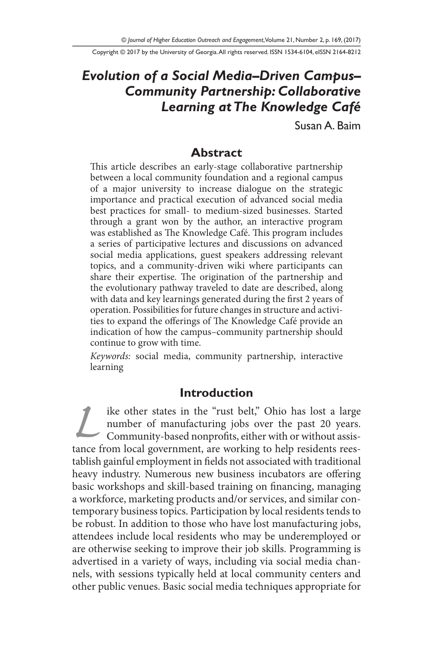Copyright © 2017 by the University of Georgia. All rights reserved. ISSN 1534-6104, eISSN 2164-8212

# *Evolution of a Social Media–Driven Campus– Community Partnership: Collaborative Learning at The Knowledge Café*

Susan A. Baim

#### **Abstract**

This article describes an early-stage collaborative partnership between a local community foundation and a regional campus of a major university to increase dialogue on the strategic importance and practical execution of advanced social media best practices for small- to medium-sized businesses. Started through a grant won by the author, an interactive program was established as The Knowledge Café. This program includes a series of participative lectures and discussions on advanced social media applications, guest speakers addressing relevant topics, and a community-driven wiki where participants can share their expertise. The origination of the partnership and the evolutionary pathway traveled to date are described, along with data and key learnings generated during the first 2 years of operation. Possibilities for future changes in structure and activities to expand the offerings of The Knowledge Café provide an indication of how the campus–community partnership should continue to grow with time.

*Keywords:* social media, community partnership, interactive learning

#### **Introduction**

ike other states in the "rust belt," Ohio has lost a large<br>number of manufacturing jobs over the past 20 years.<br>Community-based nonprofits, either with or without assis-<br>tance from local government, are working to help res number of manufacturing jobs over the past 20 years. Community-based nonprofits, either with or without assistance from local government, are working to help residents reestablish gainful employment in fields not associated with traditional heavy industry. Numerous new business incubators are offering basic workshops and skill-based training on financing, managing a workforce, marketing products and/or services, and similar contemporary business topics. Participation by local residents tends to be robust. In addition to those who have lost manufacturing jobs, attendees include local residents who may be underemployed or are otherwise seeking to improve their job skills. Programming is advertised in a variety of ways, including via social media channels, with sessions typically held at local community centers and other public venues. Basic social media techniques appropriate for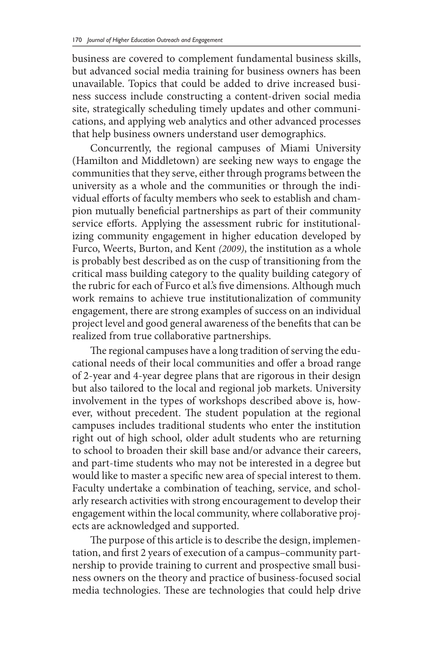business are covered to complement fundamental business skills, but advanced social media training for business owners has been unavailable. Topics that could be added to drive increased business success include constructing a content-driven social media site, strategically scheduling timely updates and other communications, and applying web analytics and other advanced processes that help business owners understand user demographics.

Concurrently, the regional campuses of Miami University (Hamilton and Middletown) are seeking new ways to engage the communities that they serve, either through programs between the university as a whole and the communities or through the individual efforts of faculty members who seek to establish and champion mutually beneficial partnerships as part of their community service efforts. Applying the assessment rubric for institutionalizing community engagement in higher education developed by Furco, Weerts, Burton, and Kent *(2009)*, the institution as a whole is probably best described as on the cusp of transitioning from the critical mass building category to the quality building category of the rubric for each of Furco et al.'s five dimensions. Although much work remains to achieve true institutionalization of community engagement, there are strong examples of success on an individual project level and good general awareness of the benefits that can be realized from true collaborative partnerships.

The regional campuses have a long tradition of serving the educational needs of their local communities and offer a broad range of 2-year and 4-year degree plans that are rigorous in their design but also tailored to the local and regional job markets. University involvement in the types of workshops described above is, however, without precedent. The student population at the regional campuses includes traditional students who enter the institution right out of high school, older adult students who are returning to school to broaden their skill base and/or advance their careers, and part-time students who may not be interested in a degree but would like to master a specific new area of special interest to them. Faculty undertake a combination of teaching, service, and scholarly research activities with strong encouragement to develop their engagement within the local community, where collaborative projects are acknowledged and supported.

The purpose of this article is to describe the design, implementation, and first 2 years of execution of a campus–community partnership to provide training to current and prospective small business owners on the theory and practice of business-focused social media technologies. These are technologies that could help drive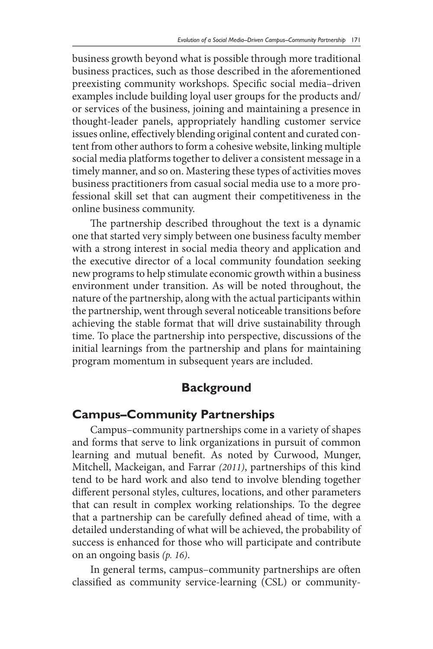business growth beyond what is possible through more traditional business practices, such as those described in the aforementioned preexisting community workshops. Specific social media–driven examples include building loyal user groups for the products and/ or services of the business, joining and maintaining a presence in thought-leader panels, appropriately handling customer service issues online, effectively blending original content and curated content from other authors to form a cohesive website, linking multiple social media platforms together to deliver a consistent message in a timely manner, and so on. Mastering these types of activities moves business practitioners from casual social media use to a more professional skill set that can augment their competitiveness in the online business community.

The partnership described throughout the text is a dynamic one that started very simply between one business faculty member with a strong interest in social media theory and application and the executive director of a local community foundation seeking new programs to help stimulate economic growth within a business environment under transition. As will be noted throughout, the nature of the partnership, along with the actual participants within the partnership, went through several noticeable transitions before achieving the stable format that will drive sustainability through time. To place the partnership into perspective, discussions of the initial learnings from the partnership and plans for maintaining program momentum in subsequent years are included.

## **Background**

## **Campus–Community Partnerships**

Campus–community partnerships come in a variety of shapes and forms that serve to link organizations in pursuit of common learning and mutual benefit. As noted by Curwood, Munger, Mitchell, Mackeigan, and Farrar *(2011)*, partnerships of this kind tend to be hard work and also tend to involve blending together different personal styles, cultures, locations, and other parameters that can result in complex working relationships. To the degree that a partnership can be carefully defined ahead of time, with a detailed understanding of what will be achieved, the probability of success is enhanced for those who will participate and contribute on an ongoing basis *(p. 16)*.

In general terms, campus–community partnerships are often classified as community service-learning (CSL) or community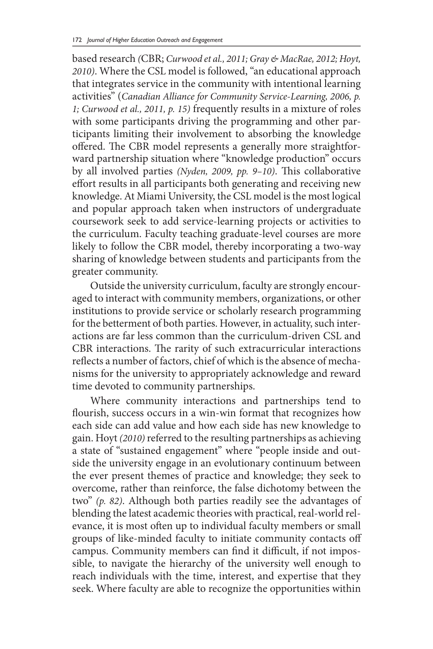based research *(*CBR; *Curwood et al., 2011; Gray & MacRae, 2012; Hoyt, 2010)*. Where the CSL model is followed, "an educational approach that integrates service in the community with intentional learning activities" (*Canadian Alliance for Community Service-Learning, 2006, p. 1; Curwood et al., 2011, p. 15)* frequently results in a mixture of roles with some participants driving the programming and other participants limiting their involvement to absorbing the knowledge offered. The CBR model represents a generally more straightforward partnership situation where "knowledge production" occurs by all involved parties *(Nyden, 2009, pp. 9–10)*. This collaborative effort results in all participants both generating and receiving new knowledge. At Miami University, the CSL model is the most logical and popular approach taken when instructors of undergraduate coursework seek to add service-learning projects or activities to the curriculum. Faculty teaching graduate-level courses are more likely to follow the CBR model, thereby incorporating a two-way sharing of knowledge between students and participants from the greater community.

Outside the university curriculum, faculty are strongly encouraged to interact with community members, organizations, or other institutions to provide service or scholarly research programming for the betterment of both parties. However, in actuality, such interactions are far less common than the curriculum-driven CSL and CBR interactions. The rarity of such extracurricular interactions reflects a number of factors, chief of which is the absence of mechanisms for the university to appropriately acknowledge and reward time devoted to community partnerships.

Where community interactions and partnerships tend to flourish, success occurs in a win-win format that recognizes how each side can add value and how each side has new knowledge to gain. Hoyt *(2010)* referred to the resulting partnerships as achieving a state of "sustained engagement" where "people inside and outside the university engage in an evolutionary continuum between the ever present themes of practice and knowledge; they seek to overcome, rather than reinforce, the false dichotomy between the two" *(p. 82)*. Although both parties readily see the advantages of blending the latest academic theories with practical, real-world relevance, it is most often up to individual faculty members or small groups of like-minded faculty to initiate community contacts off campus. Community members can find it difficult, if not impossible, to navigate the hierarchy of the university well enough to reach individuals with the time, interest, and expertise that they seek. Where faculty are able to recognize the opportunities within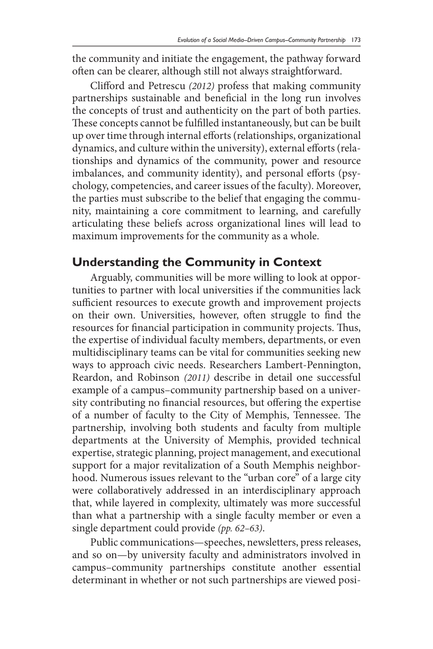the community and initiate the engagement, the pathway forward often can be clearer, although still not always straightforward.

Clifford and Petrescu *(2012)* profess that making community partnerships sustainable and beneficial in the long run involves the concepts of trust and authenticity on the part of both parties. These concepts cannot be fulfilled instantaneously, but can be built up over time through internal efforts (relationships, organizational dynamics, and culture within the university), external efforts (relationships and dynamics of the community, power and resource imbalances, and community identity), and personal efforts (psychology, competencies, and career issues of the faculty). Moreover, the parties must subscribe to the belief that engaging the community, maintaining a core commitment to learning, and carefully articulating these beliefs across organizational lines will lead to maximum improvements for the community as a whole.

## **Understanding the Community in Context**

Arguably, communities will be more willing to look at opportunities to partner with local universities if the communities lack sufficient resources to execute growth and improvement projects on their own. Universities, however, often struggle to find the resources for financial participation in community projects. Thus, the expertise of individual faculty members, departments, or even multidisciplinary teams can be vital for communities seeking new ways to approach civic needs. Researchers Lambert-Pennington, Reardon, and Robinson *(2011)* describe in detail one successful example of a campus–community partnership based on a university contributing no financial resources, but offering the expertise of a number of faculty to the City of Memphis, Tennessee. The partnership, involving both students and faculty from multiple departments at the University of Memphis, provided technical expertise, strategic planning, project management, and executional support for a major revitalization of a South Memphis neighborhood. Numerous issues relevant to the "urban core" of a large city were collaboratively addressed in an interdisciplinary approach that, while layered in complexity, ultimately was more successful than what a partnership with a single faculty member or even a single department could provide *(pp. 62–63)*.

Public communications—speeches, newsletters, press releases, and so on—by university faculty and administrators involved in campus–community partnerships constitute another essential determinant in whether or not such partnerships are viewed posi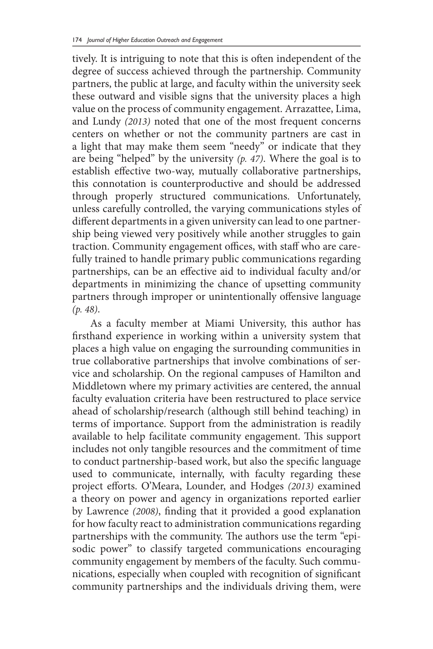tively. It is intriguing to note that this is often independent of the degree of success achieved through the partnership. Community partners, the public at large, and faculty within the university seek these outward and visible signs that the university places a high value on the process of community engagement. Arrazattee, Lima, and Lundy *(2013)* noted that one of the most frequent concerns centers on whether or not the community partners are cast in a light that may make them seem "needy" or indicate that they are being "helped" by the university *(p. 47)*. Where the goal is to establish effective two-way, mutually collaborative partnerships, this connotation is counterproductive and should be addressed through properly structured communications. Unfortunately, unless carefully controlled, the varying communications styles of different departments in a given university can lead to one partnership being viewed very positively while another struggles to gain traction. Community engagement offices, with staff who are carefully trained to handle primary public communications regarding partnerships, can be an effective aid to individual faculty and/or departments in minimizing the chance of upsetting community partners through improper or unintentionally offensive language *(p. 48)*.

As a faculty member at Miami University, this author has firsthand experience in working within a university system that places a high value on engaging the surrounding communities in true collaborative partnerships that involve combinations of service and scholarship. On the regional campuses of Hamilton and Middletown where my primary activities are centered, the annual faculty evaluation criteria have been restructured to place service ahead of scholarship/research (although still behind teaching) in terms of importance. Support from the administration is readily available to help facilitate community engagement. This support includes not only tangible resources and the commitment of time to conduct partnership-based work, but also the specific language used to communicate, internally, with faculty regarding these project efforts. O'Meara, Lounder, and Hodges *(2013)* examined a theory on power and agency in organizations reported earlier by Lawrence *(2008)*, finding that it provided a good explanation for how faculty react to administration communications regarding partnerships with the community. The authors use the term "episodic power" to classify targeted communications encouraging community engagement by members of the faculty. Such communications, especially when coupled with recognition of significant community partnerships and the individuals driving them, were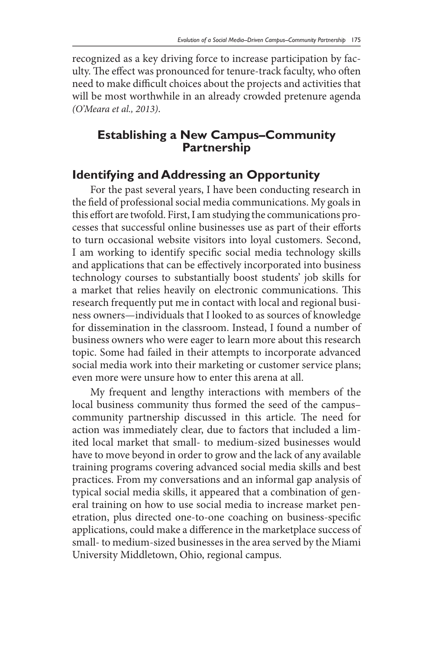recognized as a key driving force to increase participation by faculty. The effect was pronounced for tenure-track faculty, who often need to make difficult choices about the projects and activities that will be most worthwhile in an already crowded pretenure agenda *(O'Meara et al., 2013)*.

## **Establishing a New Campus–Community Partnership**

## **Identifying and Addressing an Opportunity**

For the past several years, I have been conducting research in the field of professional social media communications. My goals in this effort are twofold. First, I am studying the communications processes that successful online businesses use as part of their efforts to turn occasional website visitors into loyal customers. Second, I am working to identify specific social media technology skills and applications that can be effectively incorporated into business technology courses to substantially boost students' job skills for a market that relies heavily on electronic communications. This research frequently put me in contact with local and regional business owners—individuals that I looked to as sources of knowledge for dissemination in the classroom. Instead, I found a number of business owners who were eager to learn more about this research topic. Some had failed in their attempts to incorporate advanced social media work into their marketing or customer service plans; even more were unsure how to enter this arena at all.

My frequent and lengthy interactions with members of the local business community thus formed the seed of the campus– community partnership discussed in this article. The need for action was immediately clear, due to factors that included a limited local market that small- to medium-sized businesses would have to move beyond in order to grow and the lack of any available training programs covering advanced social media skills and best practices. From my conversations and an informal gap analysis of typical social media skills, it appeared that a combination of general training on how to use social media to increase market penetration, plus directed one-to-one coaching on business-specific applications, could make a difference in the marketplace success of small- to medium-sized businesses in the area served by the Miami University Middletown, Ohio, regional campus.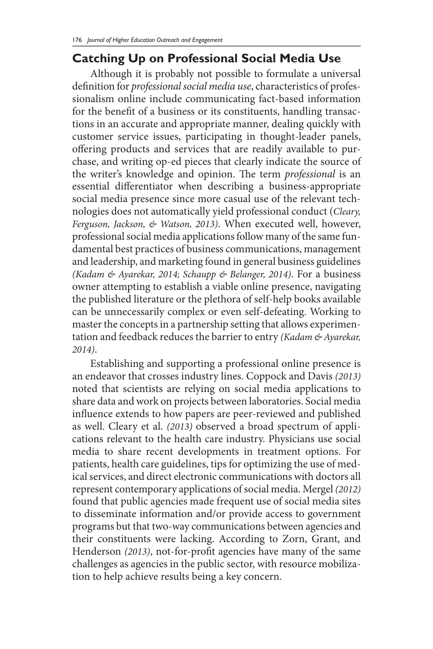## **Catching Up on Professional Social Media Use**

Although it is probably not possible to formulate a universal definition for *professional social media use*, characteristics of professionalism online include communicating fact-based information for the benefit of a business or its constituents, handling transactions in an accurate and appropriate manner, dealing quickly with customer service issues, participating in thought-leader panels, offering products and services that are readily available to purchase, and writing op-ed pieces that clearly indicate the source of the writer's knowledge and opinion. The term *professional* is an essential differentiator when describing a business-appropriate social media presence since more casual use of the relevant technologies does not automatically yield professional conduct (*Cleary, Ferguson, Jackson, & Watson, 2013)*. When executed well, however, professional social media applications follow many of the same fundamental best practices of business communications, management and leadership, and marketing found in general business guidelines *(Kadam & Ayarekar, 2014; Schaupp & Belanger, 2014)*. For a business owner attempting to establish a viable online presence, navigating the published literature or the plethora of self-help books available can be unnecessarily complex or even self-defeating. Working to master the concepts in a partnership setting that allows experimentation and feedback reduces the barrier to entry *(Kadam & Ayarekar, 2014)*.

Establishing and supporting a professional online presence is an endeavor that crosses industry lines. Coppock and Davis *(2013)* noted that scientists are relying on social media applications to share data and work on projects between laboratories. Social media influence extends to how papers are peer-reviewed and published as well. Cleary et al. *(2013)* observed a broad spectrum of applications relevant to the health care industry. Physicians use social media to share recent developments in treatment options. For patients, health care guidelines, tips for optimizing the use of medical services, and direct electronic communications with doctors all represent contemporary applications of social media. Mergel *(2012)* found that public agencies made frequent use of social media sites to disseminate information and/or provide access to government programs but that two-way communications between agencies and their constituents were lacking. According to Zorn, Grant, and Henderson *(2013)*, not-for-profit agencies have many of the same challenges as agencies in the public sector, with resource mobilization to help achieve results being a key concern.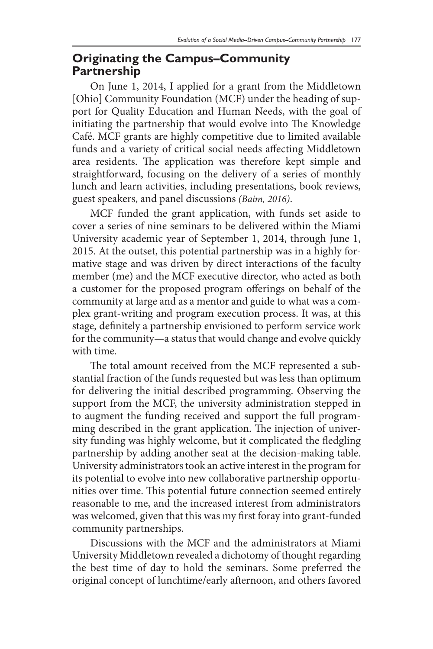#### **Originating the Campus–Community Partnership**

On June 1, 2014, I applied for a grant from the Middletown [Ohio] Community Foundation (MCF) under the heading of support for Quality Education and Human Needs, with the goal of initiating the partnership that would evolve into The Knowledge Café. MCF grants are highly competitive due to limited available funds and a variety of critical social needs affecting Middletown area residents. The application was therefore kept simple and straightforward, focusing on the delivery of a series of monthly lunch and learn activities, including presentations, book reviews, guest speakers, and panel discussions *(Baim, 2016)*.

MCF funded the grant application, with funds set aside to cover a series of nine seminars to be delivered within the Miami University academic year of September 1, 2014, through June 1, 2015. At the outset, this potential partnership was in a highly formative stage and was driven by direct interactions of the faculty member (me) and the MCF executive director, who acted as both a customer for the proposed program offerings on behalf of the community at large and as a mentor and guide to what was a complex grant-writing and program execution process. It was, at this stage, definitely a partnership envisioned to perform service work for the community—a status that would change and evolve quickly with time.

The total amount received from the MCF represented a substantial fraction of the funds requested but was less than optimum for delivering the initial described programming. Observing the support from the MCF, the university administration stepped in to augment the funding received and support the full programming described in the grant application. The injection of university funding was highly welcome, but it complicated the fledgling partnership by adding another seat at the decision-making table. University administrators took an active interest in the program for its potential to evolve into new collaborative partnership opportunities over time. This potential future connection seemed entirely reasonable to me, and the increased interest from administrators was welcomed, given that this was my first foray into grant-funded community partnerships.

Discussions with the MCF and the administrators at Miami University Middletown revealed a dichotomy of thought regarding the best time of day to hold the seminars. Some preferred the original concept of lunchtime/early afternoon, and others favored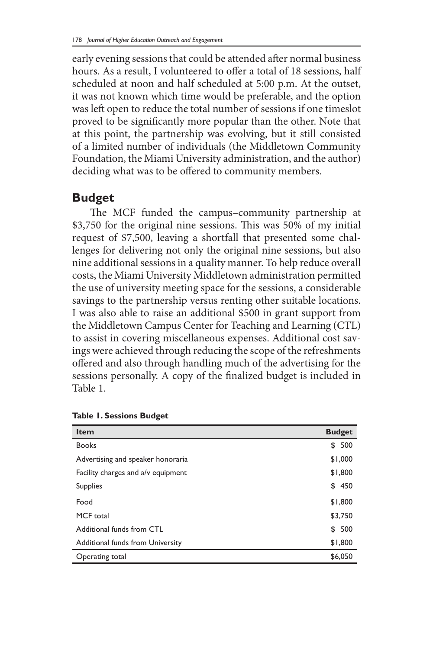early evening sessions that could be attended after normal business hours. As a result, I volunteered to offer a total of 18 sessions, half scheduled at noon and half scheduled at 5:00 p.m. At the outset, it was not known which time would be preferable, and the option was left open to reduce the total number of sessions if one timeslot proved to be significantly more popular than the other. Note that at this point, the partnership was evolving, but it still consisted of a limited number of individuals (the Middletown Community Foundation, the Miami University administration, and the author) deciding what was to be offered to community members.

#### **Budget**

The MCF funded the campus–community partnership at \$3,750 for the original nine sessions. This was 50% of my initial request of \$7,500, leaving a shortfall that presented some challenges for delivering not only the original nine sessions, but also nine additional sessions in a quality manner. To help reduce overall costs, the Miami University Middletown administration permitted the use of university meeting space for the sessions, a considerable savings to the partnership versus renting other suitable locations. I was also able to raise an additional \$500 in grant support from the Middletown Campus Center for Teaching and Learning (CTL) to assist in covering miscellaneous expenses. Additional cost savings were achieved through reducing the scope of the refreshments offered and also through handling much of the advertising for the sessions personally. A copy of the finalized budget is included in Table 1.

| <b>Item</b>                        | <b>Budget</b> |
|------------------------------------|---------------|
| <b>Books</b>                       | 500<br>\$     |
| Advertising and speaker honoraria  | \$1,000       |
| Facility charges and a/v equipment | \$1,800       |
| <b>Supplies</b>                    | 450<br>\$     |
| Food                               | \$1,800       |
| MCF total                          | \$3,750       |
| Additional funds from CTL          | 500<br>\$     |
| Additional funds from University   | \$1,800       |
| Operating total                    | \$6,050       |

|  |  | <b>Table 1. Sessions Budget</b> |  |
|--|--|---------------------------------|--|
|--|--|---------------------------------|--|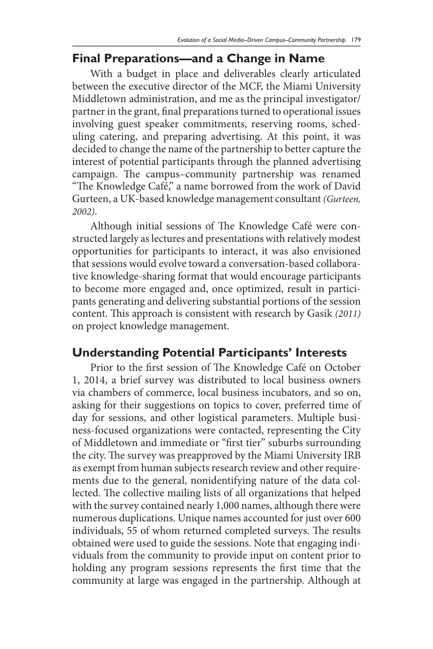## **Final Preparations—and a Change in Name**

With a budget in place and deliverables clearly articulated between the executive director of the MCF, the Miami University Middletown administration, and me as the principal investigator/ partner in the grant, final preparations turned to operational issues involving guest speaker commitments, reserving rooms, scheduling catering, and preparing advertising. At this point, it was decided to change the name of the partnership to better capture the interest of potential participants through the planned advertising campaign. The campus–community partnership was renamed "The Knowledge Café," a name borrowed from the work of David Gurteen, a UK-based knowledge management consultant *(Gurteen, 2002)*.

Although initial sessions of The Knowledge Café were constructed largely as lectures and presentations with relatively modest opportunities for participants to interact, it was also envisioned that sessions would evolve toward a conversation-based collaborative knowledge-sharing format that would encourage participants to become more engaged and, once optimized, result in participants generating and delivering substantial portions of the session content. This approach is consistent with research by Gasik *(2011)*  on project knowledge management.

#### **Understanding Potential Participants' Interests**

Prior to the first session of The Knowledge Café on October 1, 2014, a brief survey was distributed to local business owners via chambers of commerce, local business incubators, and so on, asking for their suggestions on topics to cover, preferred time of day for sessions, and other logistical parameters. Multiple business-focused organizations were contacted, representing the City of Middletown and immediate or "first tier" suburbs surrounding the city. The survey was preapproved by the Miami University IRB as exempt from human subjects research review and other requirements due to the general, nonidentifying nature of the data collected. The collective mailing lists of all organizations that helped with the survey contained nearly 1,000 names, although there were numerous duplications. Unique names accounted for just over 600 individuals, 55 of whom returned completed surveys. The results obtained were used to guide the sessions. Note that engaging individuals from the community to provide input on content prior to holding any program sessions represents the first time that the community at large was engaged in the partnership. Although at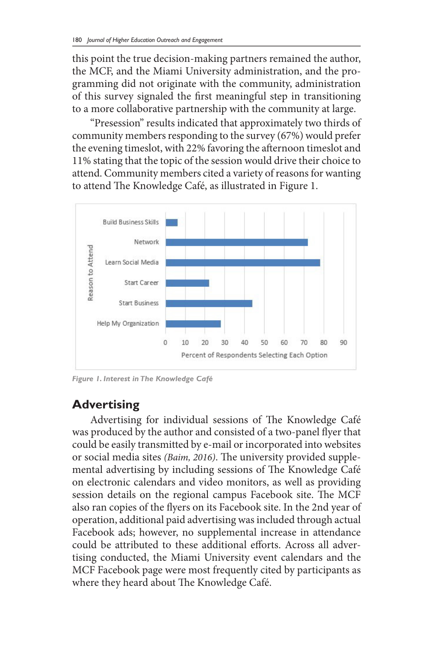this point the true decision-making partners remained the author, the MCF, and the Miami University administration, and the programming did not originate with the community, administration of this survey signaled the first meaningful step in transitioning to a more collaborative partnership with the community at large.

"Presession" results indicated that approximately two thirds of community members responding to the survey (67%) would prefer the evening timeslot, with 22% favoring the afternoon timeslot and 11% stating that the topic of the session would drive their choice to attend. Community members cited a variety of reasons for wanting to attend The Knowledge Café, as illustrated in Figure 1.



*Figure 1. Interest in The Knowledge Café*

## **Advertising**

Advertising for individual sessions of The Knowledge Café was produced by the author and consisted of a two-panel flyer that could be easily transmitted by e-mail or incorporated into websites or social media sites *(Baim, 2016)*. The university provided supplemental advertising by including sessions of The Knowledge Café on electronic calendars and video monitors, as well as providing session details on the regional campus Facebook site. The MCF also ran copies of the flyers on its Facebook site. In the 2nd year of operation, additional paid advertising was included through actual Facebook ads; however, no supplemental increase in attendance could be attributed to these additional efforts. Across all advertising conducted, the Miami University event calendars and the MCF Facebook page were most frequently cited by participants as where they heard about The Knowledge Café.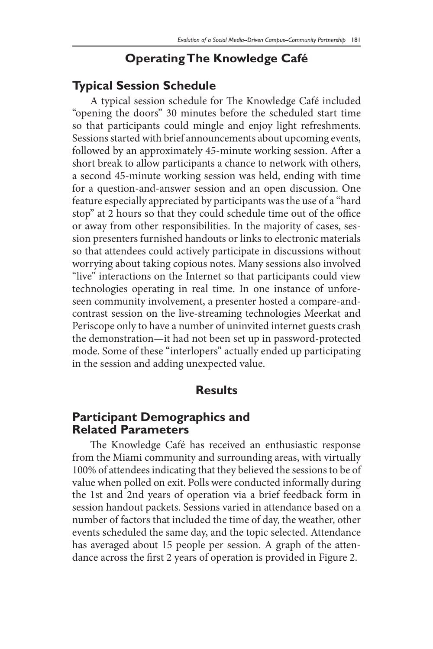## **Operating The Knowledge Café**

### **Typical Session Schedule**

A typical session schedule for The Knowledge Café included "opening the doors" 30 minutes before the scheduled start time so that participants could mingle and enjoy light refreshments. Sessions started with brief announcements about upcoming events, followed by an approximately 45-minute working session. After a short break to allow participants a chance to network with others, a second 45-minute working session was held, ending with time for a question-and-answer session and an open discussion. One feature especially appreciated by participants was the use of a "hard stop" at 2 hours so that they could schedule time out of the office or away from other responsibilities. In the majority of cases, session presenters furnished handouts or links to electronic materials so that attendees could actively participate in discussions without worrying about taking copious notes. Many sessions also involved "live" interactions on the Internet so that participants could view technologies operating in real time. In one instance of unforeseen community involvement, a presenter hosted a compare-andcontrast session on the live-streaming technologies Meerkat and Periscope only to have a number of uninvited internet guests crash the demonstration—it had not been set up in password-protected mode. Some of these "interlopers" actually ended up participating in the session and adding unexpected value.

#### **Results**

#### **Participant Demographics and Related Parameters**

The Knowledge Café has received an enthusiastic response from the Miami community and surrounding areas, with virtually 100% of attendees indicating that they believed the sessions to be of value when polled on exit. Polls were conducted informally during the 1st and 2nd years of operation via a brief feedback form in session handout packets. Sessions varied in attendance based on a number of factors that included the time of day, the weather, other events scheduled the same day, and the topic selected. Attendance has averaged about 15 people per session. A graph of the attendance across the first 2 years of operation is provided in Figure 2.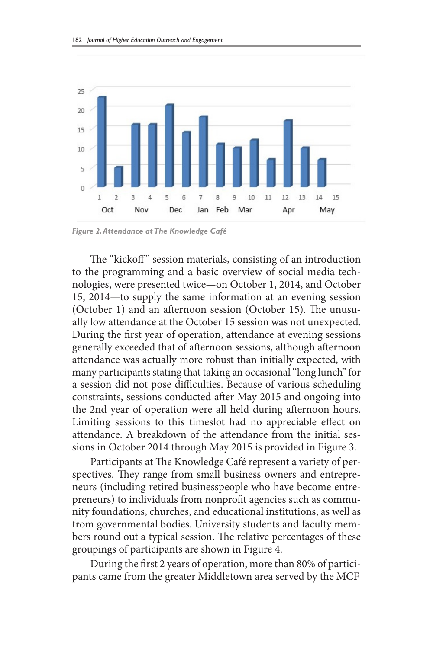

*Figure 2. Attendance at The Knowledge Café*

The "kickoff" session materials, consisting of an introduction to the programming and a basic overview of social media technologies, were presented twice—on October 1, 2014, and October 15, 2014—to supply the same information at an evening session (October 1) and an afternoon session (October 15). The unusually low attendance at the October 15 session was not unexpected. During the first year of operation, attendance at evening sessions generally exceeded that of afternoon sessions, although afternoon attendance was actually more robust than initially expected, with many participants stating that taking an occasional "long lunch" for a session did not pose difficulties. Because of various scheduling constraints, sessions conducted after May 2015 and ongoing into the 2nd year of operation were all held during afternoon hours. Limiting sessions to this timeslot had no appreciable effect on attendance. A breakdown of the attendance from the initial sessions in October 2014 through May 2015 is provided in Figure 3.

Participants at The Knowledge Café represent a variety of perspectives. They range from small business owners and entrepreneurs (including retired businesspeople who have become entrepreneurs) to individuals from nonprofit agencies such as community foundations, churches, and educational institutions, as well as from governmental bodies. University students and faculty members round out a typical session. The relative percentages of these groupings of participants are shown in Figure 4.

During the first 2 years of operation, more than 80% of participants came from the greater Middletown area served by the MCF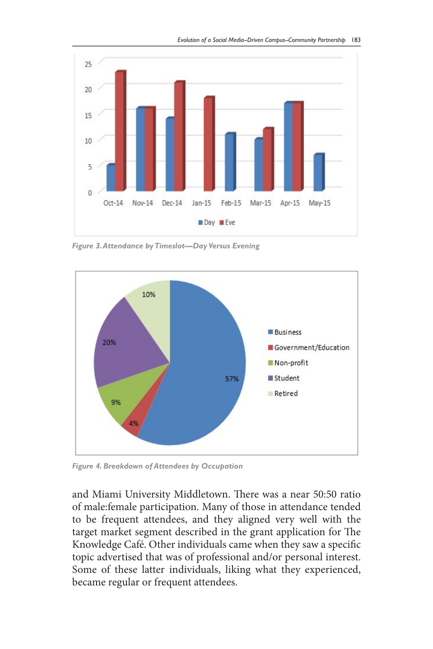

*Figure 3. Attendance by Timeslot—Day Versus Evening*



*Figure 4. Breakdown of Attendees by Occupation*

and Miami University Middletown. There was a near 50:50 ratio of male:female participation. Many of those in attendance tended to be frequent attendees, and they aligned very well with the target market segment described in the grant application for The Knowledge Café. Other individuals came when they saw a specific topic advertised that was of professional and/or personal interest. Some of these latter individuals, liking what they experienced, became regular or frequent attendees.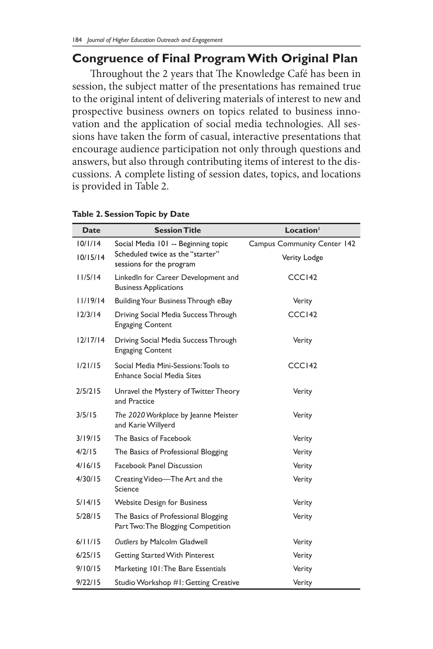#### **Congruence of Final Program With Original Plan**

Throughout the 2 years that The Knowledge Café has been in session, the subject matter of the presentations has remained true to the original intent of delivering materials of interest to new and prospective business owners on topics related to business innovation and the application of social media technologies. All sessions have taken the form of casual, interactive presentations that encourage audience participation not only through questions and answers, but also through contributing items of interest to the discussions. A complete listing of session dates, topics, and locations is provided in Table 2.

| Date     | <b>Session Title</b>                                                      | Location <sup>1</sup>              |
|----------|---------------------------------------------------------------------------|------------------------------------|
| 10/1/14  | Social Media 101 -- Beginning topic                                       | <b>Campus Community Center 142</b> |
| 10/15/14 | Scheduled twice as the "starter"<br>sessions for the program              | Verity Lodge                       |
| 11/5/14  | LinkedIn for Career Development and<br><b>Business Applications</b>       | CCCI42                             |
| 11/19/14 | Building Your Business Through eBay                                       | Verity                             |
| 12/3/14  | Driving Social Media Success Through<br><b>Engaging Content</b>           | CCC <sub>142</sub>                 |
| 12/17/14 | Driving Social Media Success Through<br><b>Engaging Content</b>           | Verity                             |
| 1/21/15  | Social Media Mini-Sessions: Tools to<br>Enhance Social Media Sites        | CCC <sub>142</sub>                 |
| 2/5/215  | Unravel the Mystery of Twitter Theory<br>and Practice                     | Verity                             |
| 3/5/15   | The 2020 Workplace by Jeanne Meister<br>and Karie Willyerd                | Verity                             |
| 3/19/15  | The Basics of Facebook                                                    | Verity                             |
| 4/2/15   | The Basics of Professional Blogging                                       | Verity                             |
| 4/16/15  | Facebook Panel Discussion                                                 | Verity                             |
| 4/30/15  | Creating Video—The Art and the<br>Science                                 | Verity                             |
| 5/14/15  | <b>Website Design for Business</b>                                        | Verity                             |
| 5/28/15  | The Basics of Professional Blogging<br>Part Two: The Blogging Competition | Verity                             |
| 6/11/15  | Outliers by Malcolm Gladwell                                              | Verity                             |
| 6/25/15  | Getting Started With Pinterest                                            | Verity                             |
| 9/10/15  | Marketing 101: The Bare Essentials                                        | Verity                             |
| 9/22/15  | Studio Workshop #1: Getting Creative                                      | Verity                             |

#### **Table 2. Session Topic by Date**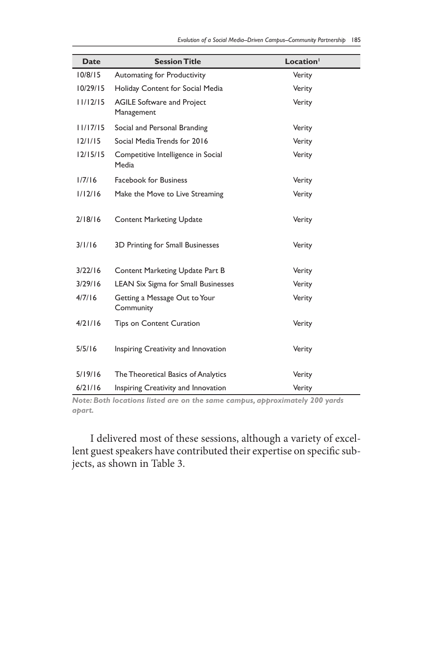| <b>Date</b> | <b>Session Title</b>                            | Location <sup>1</sup> |
|-------------|-------------------------------------------------|-----------------------|
| 10/8/15     | Automating for Productivity                     | Verity                |
| 10/29/15    | Holiday Content for Social Media                | Verity                |
| 11/12/15    | <b>AGILE Software and Project</b><br>Management | Verity                |
| 11/17/15    | Social and Personal Branding                    | Verity                |
| 12/1/15     | Social Media Trends for 2016                    | Verity                |
| 12/15/15    | Competitive Intelligence in Social<br>Media     | Verity                |
| 1/7/16      | <b>Facebook for Business</b>                    | Verity                |
| 1/12/16     | Make the Move to Live Streaming                 | Verity                |
| 2/18/16     | <b>Content Marketing Update</b>                 | Verity                |
| 3/1/16      | 3D Printing for Small Businesses                | Verity                |
| 3/22/16     | Content Marketing Update Part B                 | Verity                |
| 3/29/16     | LEAN Six Sigma for Small Businesses             | Verity                |
| 4/7/16      | Getting a Message Out to Your<br>Community      | Verity                |
| 4/21/16     | <b>Tips on Content Curation</b>                 | Verity                |
| 5/5/16      | Inspiring Creativity and Innovation             | Verity                |
| 5/19/16     | The Theoretical Basics of Analytics             | Verity                |
| 6/21/16     | Inspiring Creativity and Innovation             | Verity                |

*Note: Both locations listed are on the same campus, approximately 200 yards apart.*

I delivered most of these sessions, although a variety of excellent guest speakers have contributed their expertise on specific subjects, as shown in Table 3.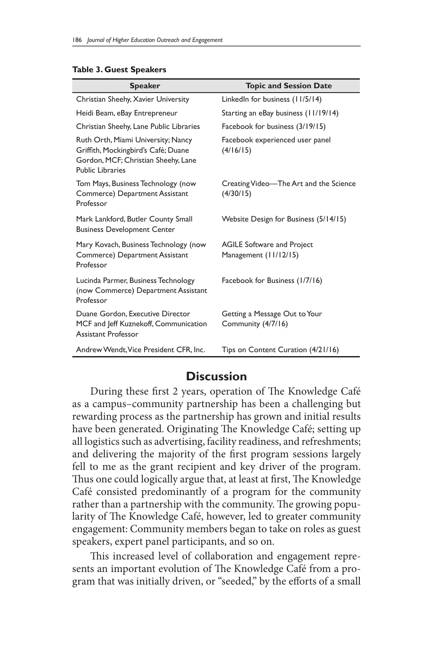| <b>Speaker</b>                                                                                                                       | <b>Topic and Session Date</b>                              |
|--------------------------------------------------------------------------------------------------------------------------------------|------------------------------------------------------------|
| Christian Sheehy, Xavier University                                                                                                  | LinkedIn for business (11/5/14)                            |
| Heidi Beam, eBay Entrepreneur                                                                                                        | Starting an eBay business (11/19/14)                       |
| Christian Sheehy, Lane Public Libraries                                                                                              | Facebook for business (3/19/15)                            |
| Ruth Orth, Miami University; Nancy<br>Griffith, Mockingbird's Café; Duane<br>Gordon, MCF; Christian Sheehy, Lane<br>Public Libraries | Facebook experienced user panel<br>(4/16/15)               |
| Tom Mays, Business Technology (now<br>Commerce) Department Assistant<br>Professor                                                    | Creating Video—The Art and the Science<br>(4/30/15)        |
| Mark Lankford, Butler County Small<br><b>Business Development Center</b>                                                             | Website Design for Business (5/14/15)                      |
| Mary Kovach, Business Technology (now<br>Commerce) Department Assistant<br>Professor                                                 | <b>AGILE Software and Project</b><br>Management (11/12/15) |
| Lucinda Parmer, Business Technology<br>(now Commerce) Department Assistant<br>Professor                                              | Facebook for Business (1/7/16)                             |
| Duane Gordon, Executive Director<br>MCF and Jeff Kuznekoff, Communication<br>Assistant Professor                                     | Getting a Message Out to Your<br>Community (4/7/16)        |
| Andrew Wendt, Vice President CFR, Inc.                                                                                               | Tips on Content Curation (4/21/16)                         |

#### **Table 3. Guest Speakers**

#### **Discussion**

During these first 2 years, operation of The Knowledge Café as a campus–community partnership has been a challenging but rewarding process as the partnership has grown and initial results have been generated. Originating The Knowledge Café; setting up all logistics such as advertising, facility readiness, and refreshments; and delivering the majority of the first program sessions largely fell to me as the grant recipient and key driver of the program. Thus one could logically argue that, at least at first, The Knowledge Café consisted predominantly of a program for the community rather than a partnership with the community. The growing popularity of The Knowledge Café, however, led to greater community engagement: Community members began to take on roles as guest speakers, expert panel participants, and so on.

This increased level of collaboration and engagement represents an important evolution of The Knowledge Café from a program that was initially driven, or "seeded," by the efforts of a small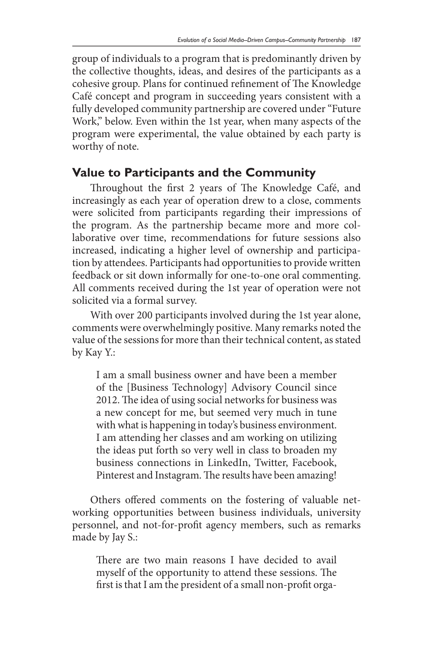group of individuals to a program that is predominantly driven by the collective thoughts, ideas, and desires of the participants as a cohesive group. Plans for continued refinement of The Knowledge Café concept and program in succeeding years consistent with a fully developed community partnership are covered under "Future Work," below. Even within the 1st year, when many aspects of the program were experimental, the value obtained by each party is worthy of note.

#### **Value to Participants and the Community**

Throughout the first 2 years of The Knowledge Café, and increasingly as each year of operation drew to a close, comments were solicited from participants regarding their impressions of the program. As the partnership became more and more collaborative over time, recommendations for future sessions also increased, indicating a higher level of ownership and participation by attendees. Participants had opportunities to provide written feedback or sit down informally for one-to-one oral commenting. All comments received during the 1st year of operation were not solicited via a formal survey.

With over 200 participants involved during the 1st year alone, comments were overwhelmingly positive. Many remarks noted the value of the sessions for more than their technical content, as stated by Kay Y.:

I am a small business owner and have been a member of the [Business Technology] Advisory Council since 2012. The idea of using social networks for business was a new concept for me, but seemed very much in tune with what is happening in today's business environment. I am attending her classes and am working on utilizing the ideas put forth so very well in class to broaden my business connections in LinkedIn, Twitter, Facebook, Pinterest and Instagram. The results have been amazing!

Others offered comments on the fostering of valuable networking opportunities between business individuals, university personnel, and not-for-profit agency members, such as remarks made by Jay S.:

There are two main reasons I have decided to avail myself of the opportunity to attend these sessions. The first is that I am the president of a small non-profit orga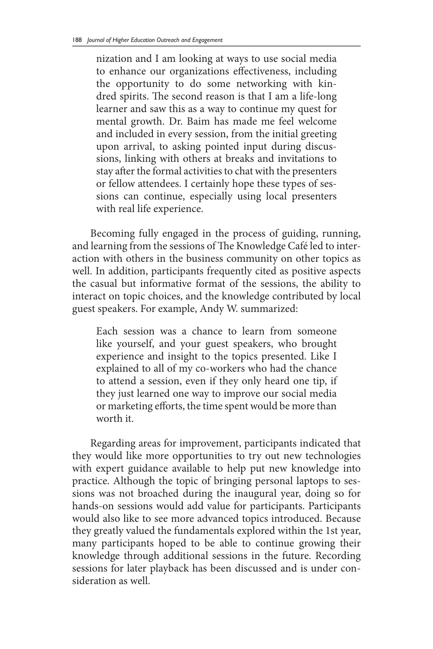nization and I am looking at ways to use social media to enhance our organizations effectiveness, including the opportunity to do some networking with kindred spirits. The second reason is that I am a life-long learner and saw this as a way to continue my quest for mental growth. Dr. Baim has made me feel welcome and included in every session, from the initial greeting upon arrival, to asking pointed input during discussions, linking with others at breaks and invitations to stay after the formal activities to chat with the presenters or fellow attendees. I certainly hope these types of sessions can continue, especially using local presenters with real life experience.

Becoming fully engaged in the process of guiding, running, and learning from the sessions of The Knowledge Café led to interaction with others in the business community on other topics as well. In addition, participants frequently cited as positive aspects the casual but informative format of the sessions, the ability to interact on topic choices, and the knowledge contributed by local guest speakers. For example, Andy W. summarized:

Each session was a chance to learn from someone like yourself, and your guest speakers, who brought experience and insight to the topics presented. Like I explained to all of my co-workers who had the chance to attend a session, even if they only heard one tip, if they just learned one way to improve our social media or marketing efforts, the time spent would be more than worth it.

Regarding areas for improvement, participants indicated that they would like more opportunities to try out new technologies with expert guidance available to help put new knowledge into practice. Although the topic of bringing personal laptops to sessions was not broached during the inaugural year, doing so for hands-on sessions would add value for participants. Participants would also like to see more advanced topics introduced. Because they greatly valued the fundamentals explored within the 1st year, many participants hoped to be able to continue growing their knowledge through additional sessions in the future. Recording sessions for later playback has been discussed and is under consideration as well.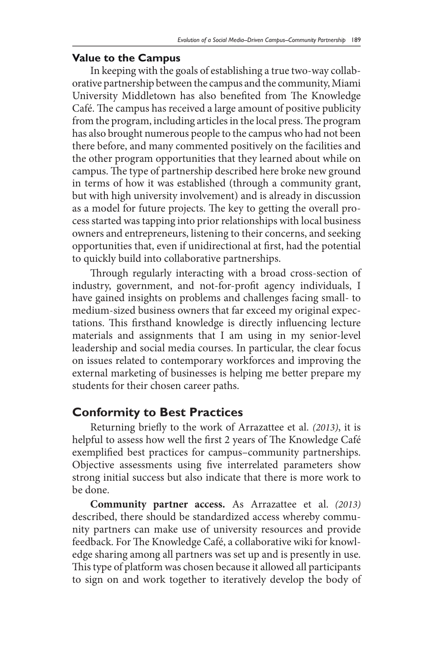#### **Value to the Campus**

In keeping with the goals of establishing a true two-way collaborative partnership between the campus and the community, Miami University Middletown has also benefited from The Knowledge Café. The campus has received a large amount of positive publicity from the program, including articles in the local press. The program has also brought numerous people to the campus who had not been there before, and many commented positively on the facilities and the other program opportunities that they learned about while on campus. The type of partnership described here broke new ground in terms of how it was established (through a community grant, but with high university involvement) and is already in discussion as a model for future projects. The key to getting the overall process started was tapping into prior relationships with local business owners and entrepreneurs, listening to their concerns, and seeking opportunities that, even if unidirectional at first, had the potential to quickly build into collaborative partnerships.

Through regularly interacting with a broad cross-section of industry, government, and not-for-profit agency individuals, I have gained insights on problems and challenges facing small- to medium-sized business owners that far exceed my original expectations. This firsthand knowledge is directly influencing lecture materials and assignments that I am using in my senior-level leadership and social media courses. In particular, the clear focus on issues related to contemporary workforces and improving the external marketing of businesses is helping me better prepare my students for their chosen career paths.

## **Conformity to Best Practices**

Returning briefly to the work of Arrazattee et al. *(2013)*, it is helpful to assess how well the first 2 years of The Knowledge Café exemplified best practices for campus–community partnerships. Objective assessments using five interrelated parameters show strong initial success but also indicate that there is more work to be done.

**Community partner access.** As Arrazattee et al. *(2013)*  described, there should be standardized access whereby community partners can make use of university resources and provide feedback. For The Knowledge Café, a collaborative wiki for knowledge sharing among all partners was set up and is presently in use. This type of platform was chosen because it allowed all participants to sign on and work together to iteratively develop the body of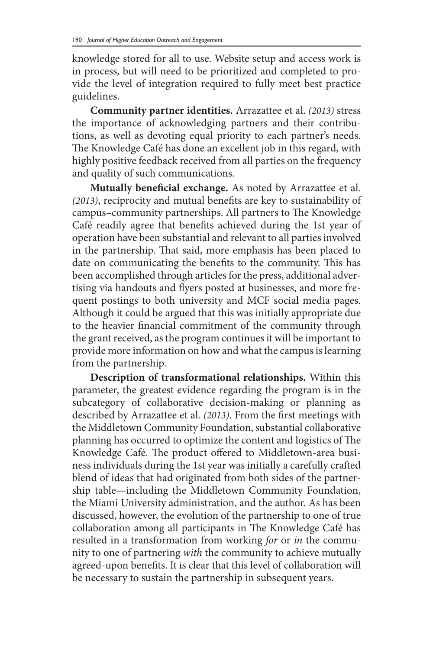knowledge stored for all to use. Website setup and access work is in process, but will need to be prioritized and completed to provide the level of integration required to fully meet best practice guidelines.

**Community partner identities.** Arrazattee et al. *(2013)* stress the importance of acknowledging partners and their contributions, as well as devoting equal priority to each partner's needs. The Knowledge Café has done an excellent job in this regard, with highly positive feedback received from all parties on the frequency and quality of such communications.

**Mutually beneficial exchange.** As noted by Arrazattee et al. *(2013)*, reciprocity and mutual benefits are key to sustainability of campus–community partnerships. All partners to The Knowledge Café readily agree that benefits achieved during the 1st year of operation have been substantial and relevant to all parties involved in the partnership. That said, more emphasis has been placed to date on communicating the benefits to the community. This has been accomplished through articles for the press, additional advertising via handouts and flyers posted at businesses, and more frequent postings to both university and MCF social media pages. Although it could be argued that this was initially appropriate due to the heavier financial commitment of the community through the grant received, as the program continues it will be important to provide more information on how and what the campus is learning from the partnership.

**Description of transformational relationships.** Within this parameter, the greatest evidence regarding the program is in the subcategory of collaborative decision-making or planning as described by Arrazattee et al. *(2013)*. From the first meetings with the Middletown Community Foundation, substantial collaborative planning has occurred to optimize the content and logistics of The Knowledge Café. The product offered to Middletown-area business individuals during the 1st year was initially a carefully crafted blend of ideas that had originated from both sides of the partnership table—including the Middletown Community Foundation, the Miami University administration, and the author. As has been discussed, however, the evolution of the partnership to one of true collaboration among all participants in The Knowledge Café has resulted in a transformation from working *for* or *in* the community to one of partnering *with* the community to achieve mutually agreed-upon benefits. It is clear that this level of collaboration will be necessary to sustain the partnership in subsequent years.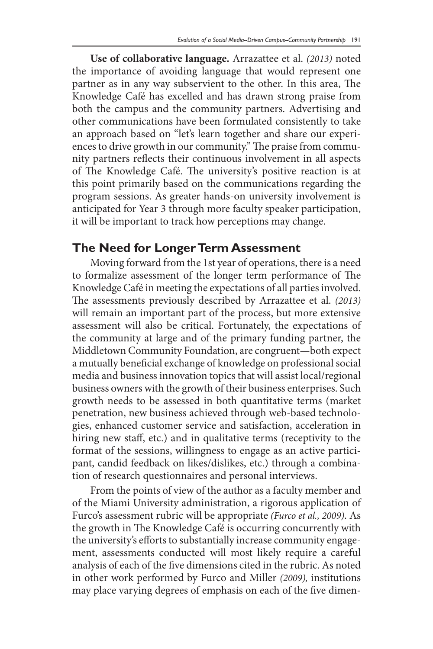**Use of collaborative language.** Arrazattee et al. *(2013)* noted the importance of avoiding language that would represent one partner as in any way subservient to the other. In this area, The Knowledge Café has excelled and has drawn strong praise from both the campus and the community partners. Advertising and other communications have been formulated consistently to take an approach based on "let's learn together and share our experiences to drive growth in our community." The praise from community partners reflects their continuous involvement in all aspects of The Knowledge Café. The university's positive reaction is at this point primarily based on the communications regarding the program sessions. As greater hands-on university involvement is anticipated for Year 3 through more faculty speaker participation, it will be important to track how perceptions may change.

## **The Need for Longer Term Assessment**

Moving forward from the 1st year of operations, there is a need to formalize assessment of the longer term performance of The Knowledge Café in meeting the expectations of all parties involved. The assessments previously described by Arrazattee et al. *(2013)*  will remain an important part of the process, but more extensive assessment will also be critical. Fortunately, the expectations of the community at large and of the primary funding partner, the Middletown Community Foundation, are congruent—both expect a mutually beneficial exchange of knowledge on professional social media and business innovation topics that will assist local/regional business owners with the growth of their business enterprises. Such growth needs to be assessed in both quantitative terms (market penetration, new business achieved through web-based technologies, enhanced customer service and satisfaction, acceleration in hiring new staff, etc.) and in qualitative terms (receptivity to the format of the sessions, willingness to engage as an active participant, candid feedback on likes/dislikes, etc.) through a combination of research questionnaires and personal interviews.

From the points of view of the author as a faculty member and of the Miami University administration, a rigorous application of Furco's assessment rubric will be appropriate *(Furco et al., 2009)*. As the growth in The Knowledge Café is occurring concurrently with the university's efforts to substantially increase community engagement, assessments conducted will most likely require a careful analysis of each of the five dimensions cited in the rubric. As noted in other work performed by Furco and Miller *(2009),* institutions may place varying degrees of emphasis on each of the five dimen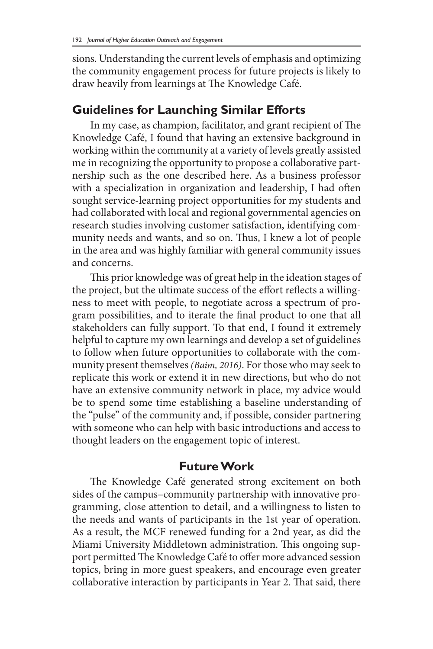sions. Understanding the current levels of emphasis and optimizing the community engagement process for future projects is likely to draw heavily from learnings at The Knowledge Café.

## **Guidelines for Launching Similar Efforts**

In my case, as champion, facilitator, and grant recipient of The Knowledge Café, I found that having an extensive background in working within the community at a variety of levels greatly assisted me in recognizing the opportunity to propose a collaborative partnership such as the one described here. As a business professor with a specialization in organization and leadership, I had often sought service-learning project opportunities for my students and had collaborated with local and regional governmental agencies on research studies involving customer satisfaction, identifying community needs and wants, and so on. Thus, I knew a lot of people in the area and was highly familiar with general community issues and concerns.

This prior knowledge was of great help in the ideation stages of the project, but the ultimate success of the effort reflects a willingness to meet with people, to negotiate across a spectrum of program possibilities, and to iterate the final product to one that all stakeholders can fully support. To that end, I found it extremely helpful to capture my own learnings and develop a set of guidelines to follow when future opportunities to collaborate with the community present themselves *(Baim, 2016)*. For those who may seek to replicate this work or extend it in new directions, but who do not have an extensive community network in place, my advice would be to spend some time establishing a baseline understanding of the "pulse" of the community and, if possible, consider partnering with someone who can help with basic introductions and access to thought leaders on the engagement topic of interest.

#### **Future Work**

The Knowledge Café generated strong excitement on both sides of the campus–community partnership with innovative programming, close attention to detail, and a willingness to listen to the needs and wants of participants in the 1st year of operation. As a result, the MCF renewed funding for a 2nd year, as did the Miami University Middletown administration. This ongoing support permitted The Knowledge Café to offer more advanced session topics, bring in more guest speakers, and encourage even greater collaborative interaction by participants in Year 2. That said, there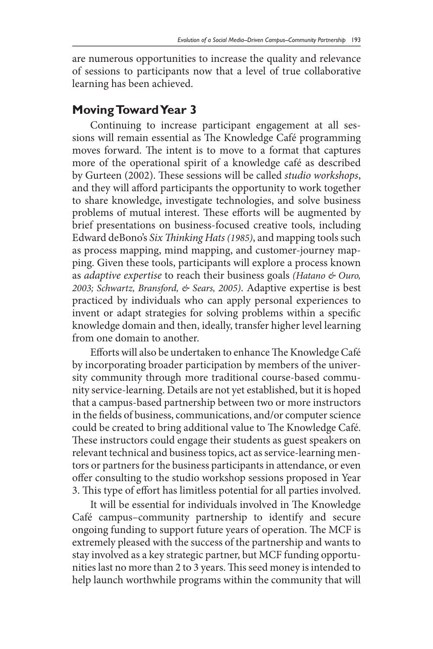are numerous opportunities to increase the quality and relevance of sessions to participants now that a level of true collaborative learning has been achieved.

## **Moving Toward Year 3**

Continuing to increase participant engagement at all sessions will remain essential as The Knowledge Café programming moves forward. The intent is to move to a format that captures more of the operational spirit of a knowledge café as described by Gurteen (2002). These sessions will be called *studio workshops*, and they will afford participants the opportunity to work together to share knowledge, investigate technologies, and solve business problems of mutual interest. These efforts will be augmented by brief presentations on business-focused creative tools, including Edward deBono's *Six Thinking Hats (1985)*, and mapping tools such as process mapping, mind mapping, and customer-journey mapping. Given these tools, participants will explore a process known as *adaptive expertise* to reach their business goals *(Hatano & Ouro, 2003; Schwartz, Bransford, & Sears, 2005)*. Adaptive expertise is best practiced by individuals who can apply personal experiences to invent or adapt strategies for solving problems within a specific knowledge domain and then, ideally, transfer higher level learning from one domain to another.

Efforts will also be undertaken to enhance The Knowledge Café by incorporating broader participation by members of the university community through more traditional course-based community service-learning. Details are not yet established, but it is hoped that a campus-based partnership between two or more instructors in the fields of business, communications, and/or computer science could be created to bring additional value to The Knowledge Café. These instructors could engage their students as guest speakers on relevant technical and business topics, act as service-learning mentors or partners for the business participants in attendance, or even offer consulting to the studio workshop sessions proposed in Year 3. This type of effort has limitless potential for all parties involved.

It will be essential for individuals involved in The Knowledge Café campus–community partnership to identify and secure ongoing funding to support future years of operation. The MCF is extremely pleased with the success of the partnership and wants to stay involved as a key strategic partner, but MCF funding opportunities last no more than 2 to 3 years. This seed money is intended to help launch worthwhile programs within the community that will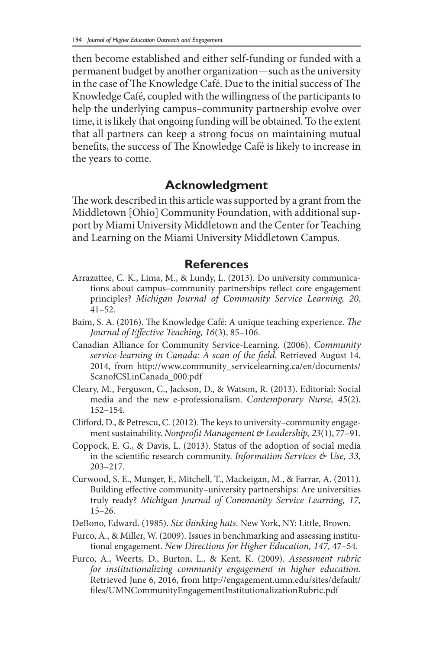then become established and either self-funding or funded with a permanent budget by another organization—such as the university in the case of The Knowledge Café. Due to the initial success of The Knowledge Café, coupled with the willingness of the participants to help the underlying campus–community partnership evolve over time, it is likely that ongoing funding will be obtained. To the extent that all partners can keep a strong focus on maintaining mutual benefits, the success of The Knowledge Café is likely to increase in the years to come.

#### **Acknowledgment**

The work described in this article was supported by a grant from the Middletown [Ohio] Community Foundation, with additional support by Miami University Middletown and the Center for Teaching and Learning on the Miami University Middletown Campus.

#### **References**

- Arrazattee, C. K., Lima, M., & Lundy, L. (2013). Do university communications about campus–community partnerships reflect core engagement principles? *Michigan Journal of Community Service Learning, 20*, 41–52.
- Baim, S. A. (2016). The Knowledge Café: A unique teaching experience. *The Journal of Effective Teaching, 16*(3), 85–106.
- Canadian Alliance for Community Service-Learning. (2006). *Community service-learning in Canada: A scan of the field.* Retrieved August 14, 2014, from http://www.community\_servicelearning.ca/en/documents/ ScanofCSLinCanada\_000.pdf
- Cleary, M., Ferguson, C., Jackson, D., & Watson, R. (2013). Editorial: Social media and the new e-professionalism. *Contemporary Nurse, 45*(2), 152–154.
- Clifford, D., & Petrescu, C. (2012). The keys to university–community engagement sustainability. *Nonprofit Management & Leadership, 23*(1), 77–91.
- Coppock, E. G., & Davis, L. (2013). Status of the adoption of social media in the scientific research community. *Information Services & Use, 33,*  203–217.
- Curwood, S. E., Munger, F., Mitchell, T., Mackeigan, M., & Farrar, A. (2011). Building effective community–university partnerships: Are universities truly ready? *Michigan Journal of Community Service Learning, 17,*  15–26.
- DeBono, Edward. (1985). *Six thinking hats.* New York, NY: Little, Brown.
- Furco, A., & Miller, W. (2009). Issues in benchmarking and assessing institutional engagement. *New Directions for Higher Education, 147,* 47–54.
- Furco, A., Weerts, D., Burton, L., & Kent, K. (2009). *Assessment rubric for institutionalizing community engagement in higher education.*  Retrieved June 6, 2016, from http://engagement.umn.edu/sites/default/ files/UMNCommunityEngagementInstitutionalizationRubric.pdf